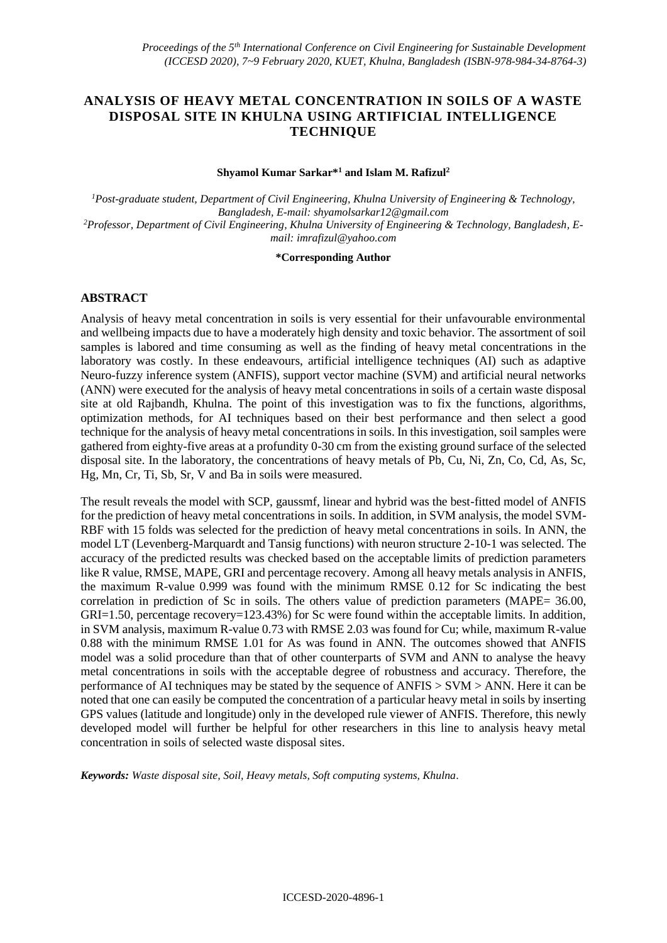## **ANALYSIS OF HEAVY METAL CONCENTRATION IN SOILS OF A WASTE DISPOSAL SITE IN KHULNA USING ARTIFICIAL INTELLIGENCE TECHNIQUE**

#### **Shyamol Kumar Sarkar\*<sup>1</sup> and Islam M. Rafizul<sup>2</sup>**

*<sup>1</sup>Post-graduate student, Department of Civil Engineering, Khulna University of Engineering & Technology, Bangladesh, E-mail: [shyamolsarkar12@gmail.com](mailto:shyamolsarkar12@gmail.com) 2Professor, Department of Civil Engineering, Khulna University of Engineering & Technology, Bangladesh, Email: [imrafizul@yahoo.com](mailto:imrafizul@yahoo.com)*

#### **\*Corresponding Author**

### **ABSTRACT**

Analysis of heavy metal concentration in soils is very essential for their unfavourable environmental and wellbeing impacts due to have a moderately high density and toxic behavior. The assortment of soil samples is labored and time consuming as well as the finding of heavy metal concentrations in the laboratory was costly. In these endeavours, artificial intelligence techniques (AI) such as adaptive Neuro-fuzzy inference system (ANFIS), support vector machine (SVM) and artificial neural networks (ANN) were executed for the analysis of heavy metal concentrations in soils of a certain waste disposal site at old Rajbandh, Khulna. The point of this investigation was to fix the functions, algorithms, optimization methods, for AI techniques based on their best performance and then select a good technique for the analysis of heavy metal concentrations in soils. In this investigation, soil samples were gathered from eighty-five areas at a profundity 0-30 cm from the existing ground surface of the selected disposal site. In the laboratory, the concentrations of heavy metals of Pb, Cu, Ni, Zn, Co, Cd, As, Sc, Hg, Mn, Cr, Ti, Sb, Sr, V and Ba in soils were measured.

The result reveals the model with SCP, gaussmf, linear and hybrid was the best-fitted model of ANFIS for the prediction of heavy metal concentrations in soils. In addition, in SVM analysis, the model SVM-RBF with 15 folds was selected for the prediction of heavy metal concentrations in soils. In ANN, the model LT (Levenberg-Marquardt and Tansig functions) with neuron structure 2-10-1 was selected. The accuracy of the predicted results was checked based on the acceptable limits of prediction parameters like R value, RMSE, MAPE, GRI and percentage recovery. Among all heavy metals analysis in ANFIS, the maximum R-value 0.999 was found with the minimum RMSE 0.12 for Sc indicating the best correlation in prediction of Sc in soils. The others value of prediction parameters (MAPE= 36.00, GRI=1.50, percentage recovery=123.43%) for Sc were found within the acceptable limits. In addition, in SVM analysis, maximum R-value 0.73 with RMSE 2.03 was found for Cu; while, maximum R-value 0.88 with the minimum RMSE 1.01 for As was found in ANN. The outcomes showed that ANFIS model was a solid procedure than that of other counterparts of SVM and ANN to analyse the heavy metal concentrations in soils with the acceptable degree of robustness and accuracy. Therefore, the performance of AI techniques may be stated by the sequence of ANFIS > SVM > ANN. Here it can be noted that one can easily be computed the concentration of a particular heavy metal in soils by inserting GPS values (latitude and longitude) only in the developed rule viewer of ANFIS. Therefore, this newly developed model will further be helpful for other researchers in this line to analysis heavy metal concentration in soils of selected waste disposal sites.

*Keywords: Waste disposal site, Soil, Heavy metals, Soft computing systems, Khulna*.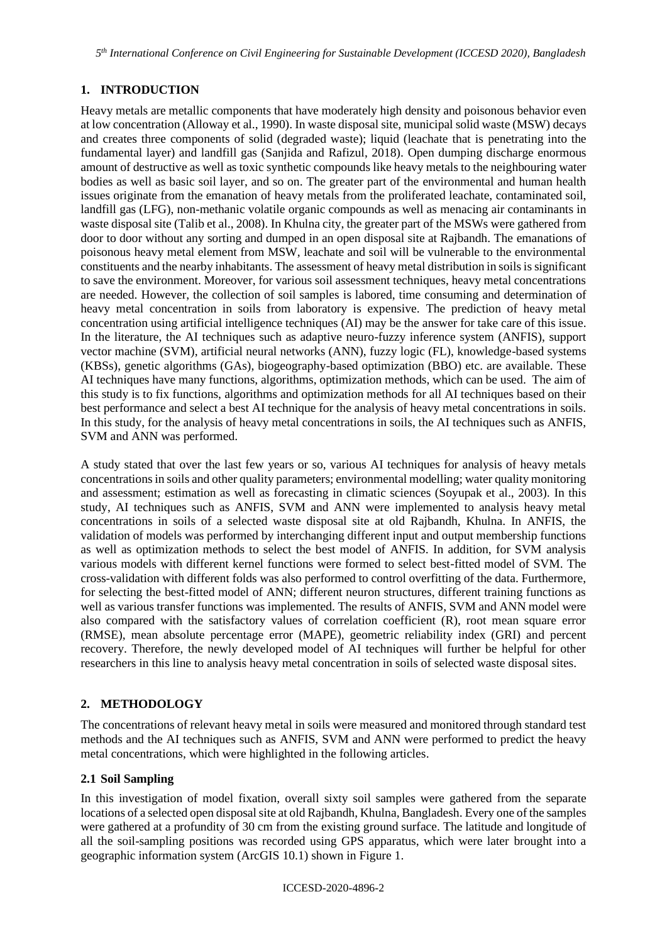*5 th International Conference on Civil Engineering for Sustainable Development (ICCESD 2020), Bangladesh*

# **1. INTRODUCTION**

Heavy metals are metallic components that have moderately high density and poisonous behavior even at low concentration (Alloway et al., 1990). In waste disposal site, municipal solid waste (MSW) decays and creates three components of solid (degraded waste); liquid (leachate that is penetrating into the fundamental layer) and landfill gas (Sanjida and Rafizul, 2018). Open dumping discharge enormous amount of destructive as well as toxic synthetic compounds like heavy metals to the neighbouring water bodies as well as basic soil layer, and so on. The greater part of the environmental and human health issues originate from the emanation of heavy metals from the proliferated leachate, contaminated soil, landfill gas (LFG), non-methanic volatile organic compounds as well as menacing air contaminants in waste disposal site (Talib et al., 2008). In Khulna city, the greater part of the MSWs were gathered from door to door without any sorting and dumped in an open disposal site at Rajbandh. The emanations of poisonous heavy metal element from MSW, leachate and soil will be vulnerable to the environmental constituents and the nearby inhabitants. The assessment of heavy metal distribution in soils is significant to save the environment. Moreover, for various soil assessment techniques, heavy metal concentrations are needed. However, the collection of soil samples is labored, time consuming and determination of heavy metal concentration in soils from laboratory is expensive. The prediction of heavy metal concentration using artificial intelligence techniques (AI) may be the answer for take care of this issue. In the literature, the AI techniques such as adaptive neuro-fuzzy inference system (ANFIS), support vector machine (SVM), artificial neural networks (ANN), fuzzy logic (FL), knowledge-based systems (KBSs), genetic algorithms (GAs), biogeography-based optimization (BBO) etc. are available. These AI techniques have many functions, algorithms, optimization methods, which can be used. The aim of this study is to fix functions, algorithms and optimization methods for all AI techniques based on their best performance and select a best AI technique for the analysis of heavy metal concentrations in soils. In this study, for the analysis of heavy metal concentrations in soils, the AI techniques such as ANFIS, SVM and ANN was performed.

A study stated that over the last few years or so, various AI techniques for analysis of heavy metals concentrations in soils and other quality parameters; environmental modelling; water quality monitoring and assessment; estimation as well as forecasting in climatic sciences (Soyupak et al., 2003). In this study, AI techniques such as ANFIS, SVM and ANN were implemented to analysis heavy metal concentrations in soils of a selected waste disposal site at old Rajbandh, Khulna. In ANFIS, the validation of models was performed by interchanging different input and output membership functions as well as optimization methods to select the best model of ANFIS. In addition, for SVM analysis various models with different kernel functions were formed to select best-fitted model of SVM. The cross-validation with different folds was also performed to control overfitting of the data. Furthermore, for selecting the best-fitted model of ANN; different neuron structures, different training functions as well as various transfer functions was implemented. The results of ANFIS, SVM and ANN model were also compared with the satisfactory values of correlation coefficient (R), root mean square error (RMSE), mean absolute percentage error (MAPE), geometric reliability index (GRI) and percent recovery. Therefore, the newly developed model of AI techniques will further be helpful for other researchers in this line to analysis heavy metal concentration in soils of selected waste disposal sites.

# **2. METHODOLOGY**

The concentrations of relevant heavy metal in soils were measured and monitored through standard test methods and the AI techniques such as ANFIS, SVM and ANN were performed to predict the heavy metal concentrations, which were highlighted in the following articles.

## **2.1 Soil Sampling**

In this investigation of model fixation, overall sixty soil samples were gathered from the separate locations of a selected open disposal site at old Rajbandh, Khulna, Bangladesh. Every one of the samples were gathered at a profundity of 30 cm from the existing ground surface. The latitude and longitude of all the soil-sampling positions was recorded using GPS apparatus, which were later brought into a geographic information system (ArcGIS 10.1) shown in Figure 1.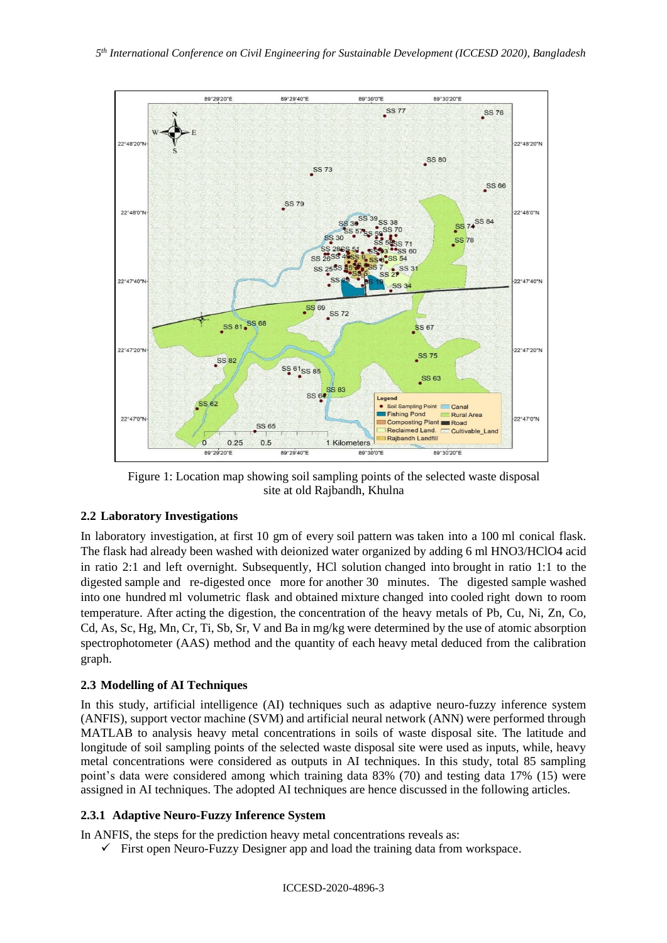

Figure 1: Location map showing soil sampling points of the selected waste disposal site at old Rajbandh, Khulna

## **2.2 Laboratory Investigations**

In laboratory investigation, at first 10 gm of every soil pattern was taken into a 100 ml conical flask. The flask had already been washed with deionized water organized by adding 6 ml HNO3/HClO4 acid in ratio 2:1 and left overnight. Subsequently, HCl solution changed into brought in ratio 1:1 to the digested sample and re-digested once more for another 30 minutes. The digested sample washed into one hundred ml volumetric flask and obtained mixture changed into cooled right down to room temperature. After acting the digestion, the concentration of the heavy metals of Pb, Cu, Ni, Zn, Co, Cd, As, Sc, Hg, Mn, Cr, Ti, Sb, Sr, V and Ba in mg/kg were determined by the use of atomic absorption spectrophotometer (AAS) method and the quantity of each heavy metal deduced from the calibration graph.

## **2.3 Modelling of AI Techniques**

In this study, artificial intelligence (AI) techniques such as adaptive neuro-fuzzy inference system (ANFIS), support vector machine (SVM) and artificial neural network (ANN) were performed through MATLAB to analysis heavy metal concentrations in soils of waste disposal site. The latitude and longitude of soil sampling points of the selected waste disposal site were used as inputs, while, heavy metal concentrations were considered as outputs in AI techniques. In this study, total 85 sampling point's data were considered among which training data 83% (70) and testing data 17% (15) were assigned in AI techniques. The adopted AI techniques are hence discussed in the following articles.

## **2.3.1 Adaptive Neuro-Fuzzy Inference System**

In ANFIS, the steps for the prediction heavy metal concentrations reveals as:

 $\checkmark$  First open Neuro-Fuzzy Designer app and load the training data from workspace.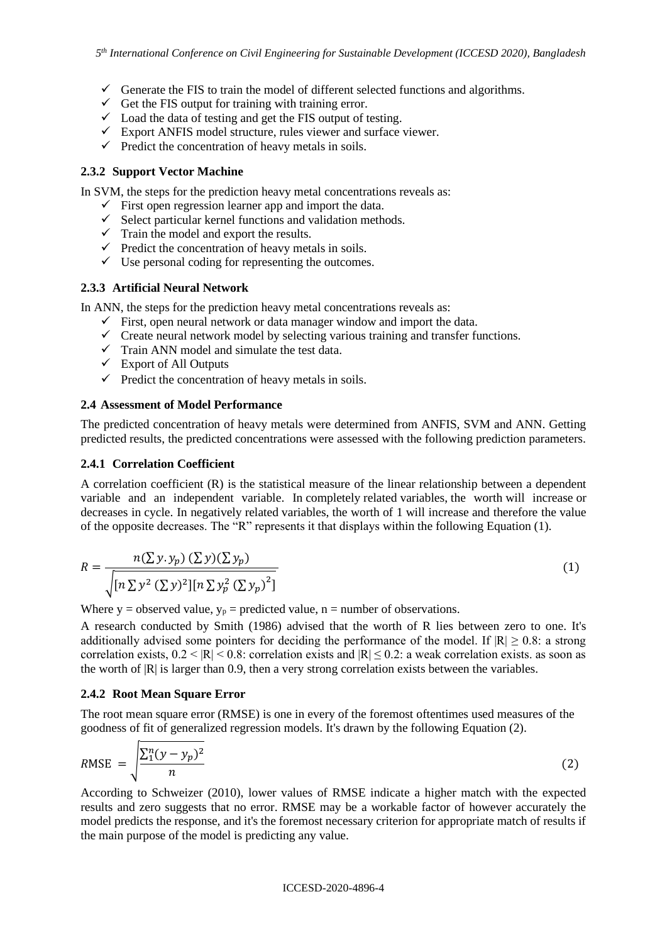- $\checkmark$  Generate the FIS to train the model of different selected functions and algorithms.
- $\checkmark$  Get the FIS output for training with training error.
- $\checkmark$  Load the data of testing and get the FIS output of testing.
- $\checkmark$  Export ANFIS model structure, rules viewer and surface viewer.
- $\checkmark$  Predict the concentration of heavy metals in soils.

### **2.3.2 Support Vector Machine**

In SVM, the steps for the prediction heavy metal concentrations reveals as:

- $\checkmark$  First open regression learner app and import the data.
- $\checkmark$  Select particular kernel functions and validation methods.
- $\checkmark$  Train the model and export the results.
- $\checkmark$  Predict the concentration of heavy metals in soils.
- $\checkmark$  Use personal coding for representing the outcomes.

### **2.3.3 Artificial Neural Network**

In ANN, the steps for the prediction heavy metal concentrations reveals as:

- $\checkmark$  First, open neural network or data manager window and import the data.
- $\checkmark$  Create neural network model by selecting various training and transfer functions.
- $\checkmark$  Train ANN model and simulate the test data.
- $\checkmark$  Export of All Outputs
- $\checkmark$  Predict the concentration of heavy metals in soils.

#### **2.4 Assessment of Model Performance**

The predicted concentration of heavy metals were determined from ANFIS, SVM and ANN. Getting predicted results, the predicted concentrations were assessed with the following prediction parameters.

### **2.4.1 Correlation Coefficient**

A correlation coefficient (R) is the statistical measure of the linear relationship between a dependent variable and an independent variable. In completely related variables, the worth will increase or decreases in cycle. In negatively related variables, the worth of 1 will increase and therefore the value of the opposite decreases. The "R" represents it that displays within the following Equation (1).

$$
R = \frac{n(\sum y. y_p) (\sum y) (\sum y_p)}{\sqrt{[n \sum y^2 (\sum y)^2][n \sum y_p^2 (\sum y_p)^2]}}
$$
(1)

Where y = observed value,  $y_p$  = predicted value, n = number of observations.

A research conducted by Smith (1986) advised that the worth of R lies between zero to one. It's additionally advised some pointers for deciding the performance of the model. If  $|R| \ge 0.8$ : a strong correlation exists,  $0.2 < |R| < 0.8$ : correlation exists and  $|R| \le 0.2$ : a weak correlation exists. as soon as the worth of |R| is larger than 0.9, then a very strong correlation exists between the variables.

### **2.4.2 Root Mean Square Error**

The root mean square error (RMSE) is one in every of the foremost oftentimes used measures of the goodness of fit of generalized regression models. It's drawn by the following Equation (2).

$$
RMSE = \sqrt{\frac{\sum_{1}^{n}(y - y_p)^2}{n}}
$$
 (2)

According to Schweizer (2010), lower values of RMSE indicate a higher match with the expected results and zero suggests that no error. RMSE may be a workable factor of however accurately the model predicts the response, and it's the foremost necessary criterion for appropriate match of results if the main purpose of the model is predicting any value.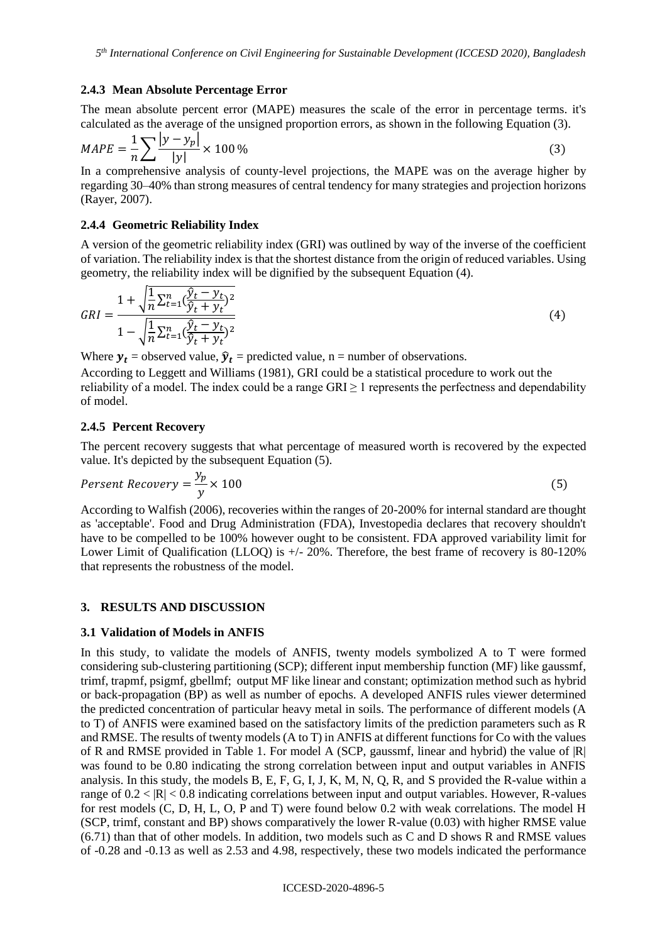#### **2.4.3 Mean Absolute Percentage Error**

The mean absolute percent error (MAPE) measures the scale of the error in percentage terms. it's calculated as the average of the unsigned proportion errors, as shown in the following Equation (3).

$$
MAPE = \frac{1}{n} \sum \frac{|y - y_p|}{|y|} \times 100\% \tag{3}
$$

In a comprehensive analysis of county-level projections, the MAPE was on the average higher by regarding 30–40% than strong measures of central tendency for many strategies and projection horizons (Rayer, 2007).

### **2.4.4 Geometric Reliability Index**

A version of the geometric reliability index (GRI) was outlined by way of the inverse of the coefficient of variation. The reliability index is that the shortest distance from the origin of reduced variables. Using geometry, the reliability index will be dignified by the subsequent Equation (4).

$$
GRI = \frac{1 + \sqrt{\frac{1}{n} \sum_{t=1}^{n} (\frac{\hat{y}_t - y_t}{\hat{y}_t + y_t})^2}}{1 - \sqrt{\frac{1}{n} \sum_{t=1}^{n} (\frac{\hat{y}_t - y_t}{\hat{y}_t + y_t})^2}}
$$
(4)

Where  $y_t$  = observed value,  $\hat{y}_t$  = predicted value, n = number of observations.

According to Leggett and Williams (1981), GRI could be a statistical procedure to work out the reliability of a model. The index could be a range  $GRI \geq 1$  represents the perfectness and dependability of model.

#### **2.4.5 Percent Recovery**

The percent recovery suggests that what percentage of measured worth is recovered by the expected value. It's depicted by the subsequent Equation (5).

$$
Present Recovery = \frac{y_p}{y} \times 100\tag{5}
$$

According to Walfish (2006), recoveries within the ranges of 20-200% for internal standard are thought as 'acceptable'. Food and Drug Administration (FDA), Investopedia declares that recovery shouldn't have to be compelled to be 100% however ought to be consistent. FDA approved variability limit for Lower Limit of Qualification (LLOQ) is  $+/- 20\%$ . Therefore, the best frame of recovery is 80-120% that represents the robustness of the model.

### **3. RESULTS AND DISCUSSION**

### **3.1 Validation of Models in ANFIS**

In this study, to validate the models of ANFIS, twenty models symbolized A to T were formed considering sub-clustering partitioning (SCP); different input membership function (MF) like gaussmf, trimf, trapmf, psigmf, gbellmf; output MF like linear and constant; optimization method such as hybrid or back-propagation (BP) as well as number of epochs. A developed ANFIS rules viewer determined the predicted concentration of particular heavy metal in soils. The performance of different models (A to T) of ANFIS were examined based on the satisfactory limits of the prediction parameters such as R and RMSE. The results of twenty models (A to T) in ANFIS at different functions for Co with the values of R and RMSE provided in Table 1. For model A (SCP, gaussmf, linear and hybrid) the value of |R| was found to be 0.80 indicating the strong correlation between input and output variables in ANFIS analysis. In this study, the models B, E, F, G, I, J, K, M, N, Q, R, and S provided the R-value within a range of  $0.2 < |R| < 0.8$  indicating correlations between input and output variables. However, R-values for rest models (C, D, H, L, O, P and T) were found below 0.2 with weak correlations. The model H (SCP, trimf, constant and BP) shows comparatively the lower R-value (0.03) with higher RMSE value (6.71) than that of other models. In addition, two models such as C and D shows R and RMSE values of -0.28 and -0.13 as well as 2.53 and 4.98, respectively, these two models indicated the performance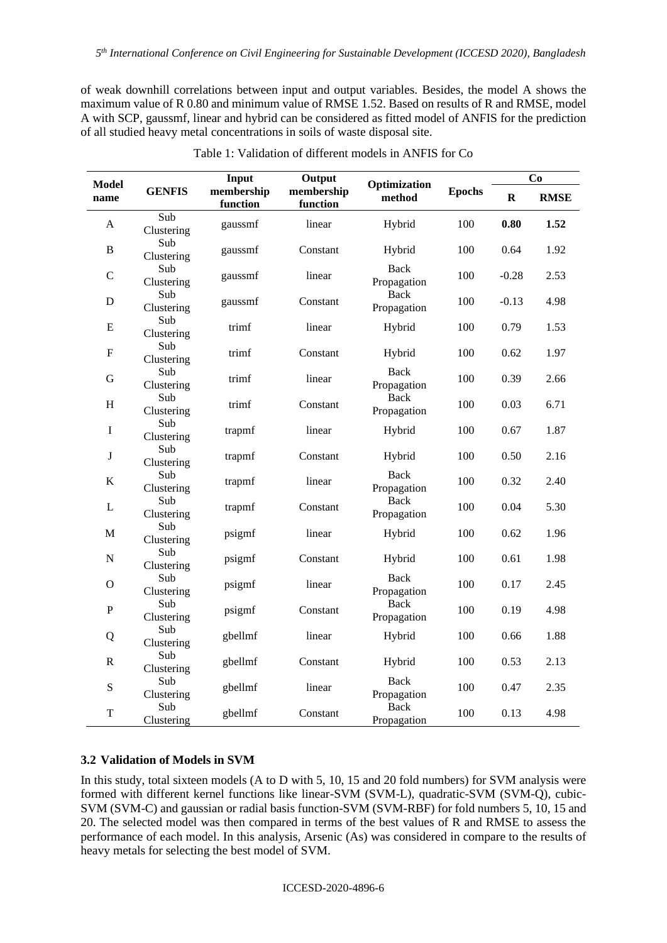of weak downhill correlations between input and output variables. Besides, the model A shows the maximum value of R 0.80 and minimum value of RMSE 1.52. Based on results of R and RMSE, model A with SCP, gaussmf, linear and hybrid can be considered as fitted model of ANFIS for the prediction of all studied heavy metal concentrations in soils of waste disposal site.

| <b>Model</b> |                   | Input                  | Output                 | Optimization               |               | Co          |             |
|--------------|-------------------|------------------------|------------------------|----------------------------|---------------|-------------|-------------|
| name         | <b>GENFIS</b>     | membership<br>function | membership<br>function | method                     | <b>Epochs</b> | $\mathbf R$ | <b>RMSE</b> |
| A            | Sub<br>Clustering | gaussmf                | linear                 | Hybrid                     | 100           | 0.80        | 1.52        |
| $\, {\bf B}$ | Sub<br>Clustering | gaussmf                | Constant               | Hybrid                     | 100           | 0.64        | 1.92        |
| $\mathsf C$  | Sub<br>Clustering | gaussmf                | linear                 | Back<br>Propagation        | 100           | $-0.28$     | 2.53        |
| ${\bf D}$    | Sub<br>Clustering | gaussmf                | Constant               | <b>Back</b><br>Propagation | 100           | $-0.13$     | 4.98        |
| ${\bf E}$    | Sub<br>Clustering | trimf                  | linear                 | Hybrid                     | 100           | 0.79        | 1.53        |
| ${\bf F}$    | Sub<br>Clustering | trimf                  | Constant               | Hybrid                     | 100           | 0.62        | 1.97        |
| ${\bf G}$    | Sub<br>Clustering | trimf                  | linear                 | Back<br>Propagation        | 100           | 0.39        | 2.66        |
| $\, {\rm H}$ | Sub<br>Clustering | trimf                  | Constant               | <b>Back</b><br>Propagation | 100           | 0.03        | 6.71        |
| $\mathbf I$  | Sub<br>Clustering | trapmf                 | linear                 | Hybrid                     | 100           | 0.67        | 1.87        |
| J            | Sub<br>Clustering | trapmf                 | Constant               | Hybrid                     | 100           | 0.50        | 2.16        |
| $\bf K$      | Sub<br>Clustering | trapmf                 | linear                 | Back<br>Propagation        | 100           | 0.32        | 2.40        |
| L            | Sub<br>Clustering | trapmf                 | Constant               | <b>Back</b><br>Propagation | 100           | 0.04        | 5.30        |
| $\mathbf M$  | Sub<br>Clustering | psigmf                 | linear                 | Hybrid                     | 100           | 0.62        | 1.96        |
| ${\bf N}$    | Sub<br>Clustering | psigmf                 | Constant               | Hybrid                     | 100           | 0.61        | 1.98        |
| $\mathbf{O}$ | Sub<br>Clustering | psigmf                 | linear                 | <b>Back</b><br>Propagation | 100           | 0.17        | 2.45        |
| ${\bf P}$    | Sub<br>Clustering | psigmf                 | Constant               | <b>Back</b><br>Propagation | 100           | 0.19        | 4.98        |
| Q            | Sub<br>Clustering | gbellmf                | linear                 | Hybrid                     | 100           | 0.66        | 1.88        |
| $\mathbf R$  | Sub<br>Clustering | gbellmf                | Constant               | Hybrid                     | 100           | 0.53        | 2.13        |
| ${\bf S}$    | Sub<br>Clustering | gbellmf                | linear                 | Back<br>Propagation        | 100           | 0.47        | 2.35        |
| $\mathbf T$  | Sub<br>Clustering | gbellmf                | Constant               | <b>Back</b><br>Propagation | 100           | 0.13        | 4.98        |

Table 1: Validation of different models in ANFIS for Co

### **3.2 Validation of Models in SVM**

In this study, total sixteen models (A to D with 5, 10, 15 and 20 fold numbers) for SVM analysis were formed with different kernel functions like linear-SVM (SVM-L), quadratic-SVM (SVM-Q), cubic-SVM (SVM-C) and gaussian or radial basis function-SVM (SVM-RBF) for fold numbers 5, 10, 15 and 20. The selected model was then compared in terms of the best values of R and RMSE to assess the performance of each model. In this analysis, Arsenic (As) was considered in compare to the results of heavy metals for selecting the best model of SVM.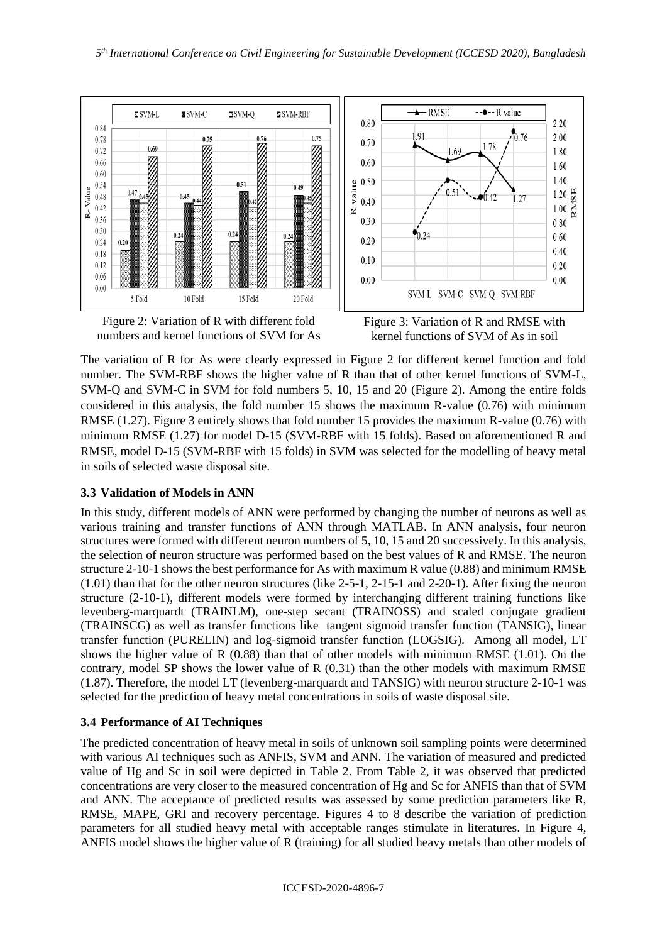

Figure 2: Variation of R with different fold numbers and kernel functions of SVM for As



The variation of R for As were clearly expressed in Figure 2 for different kernel function and fold number. The SVM-RBF shows the higher value of R than that of other kernel functions of SVM-L, SVM-Q and SVM-C in SVM for fold numbers 5, 10, 15 and 20 (Figure 2). Among the entire folds considered in this analysis, the fold number 15 shows the maximum R-value (0.76) with minimum RMSE (1.27). Figure 3 entirely shows that fold number 15 provides the maximum R-value (0.76) with minimum RMSE (1.27) for model D-15 (SVM-RBF with 15 folds). Based on aforementioned R and RMSE, model D-15 (SVM-RBF with 15 folds) in SVM was selected for the modelling of heavy metal in soils of selected waste disposal site.

# **3.3 Validation of Models in ANN**

In this study, different models of ANN were performed by changing the number of neurons as well as various training and transfer functions of ANN through MATLAB. In ANN analysis, four neuron structures were formed with different neuron numbers of 5, 10, 15 and 20 successively. In this analysis, the selection of neuron structure was performed based on the best values of R and RMSE. The neuron structure 2-10-1 shows the best performance for As with maximum R value (0.88) and minimum RMSE (1.01) than that for the other neuron structures (like 2-5-1, 2-15-1 and 2-20-1). After fixing the neuron structure (2-10-1), different models were formed by interchanging different training functions like levenberg-marquardt (TRAINLM), one-step secant (TRAINOSS) and scaled conjugate gradient (TRAINSCG) as well as transfer functions like tangent sigmoid transfer function (TANSIG), linear transfer function (PURELIN) and log-sigmoid transfer function (LOGSIG). Among all model, LT shows the higher value of R  $(0.88)$  than that of other models with minimum RMSE  $(1.01)$ . On the contrary, model SP shows the lower value of R (0.31) than the other models with maximum RMSE (1.87). Therefore, the model LT (levenberg-marquardt and TANSIG) with neuron structure 2-10-1 was selected for the prediction of heavy metal concentrations in soils of waste disposal site.

## **3.4 Performance of AI Techniques**

The predicted concentration of heavy metal in soils of unknown soil sampling points were determined with various AI techniques such as ANFIS, SVM and ANN. The variation of measured and predicted value of Hg and Sc in soil were depicted in Table 2. From Table 2, it was observed that predicted concentrations are very closer to the measured concentration of Hg and Sc for ANFIS than that of SVM and ANN. The acceptance of predicted results was assessed by some prediction parameters like R, RMSE, MAPE, GRI and recovery percentage. Figures 4 to 8 describe the variation of prediction parameters for all studied heavy metal with acceptable ranges stimulate in literatures. In Figure 4, ANFIS model shows the higher value of R (training) for all studied heavy metals than other models of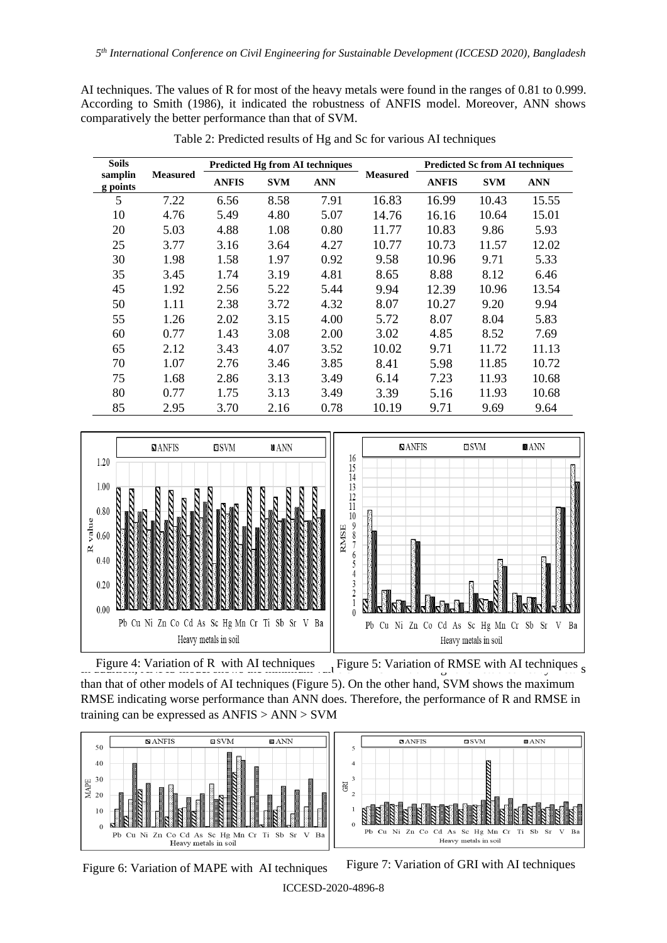AI techniques. The values of R for most of the heavy metals were found in the ranges of 0.81 to 0.999. According to Smith (1986), it indicated the robustness of ANFIS model. Moreover, ANN shows comparatively the better performance than that of SVM.

| <b>Soils</b>        |                 | <b>Predicted Hg from AI techniques</b> |            |            |                 | <b>Predicted Sc from AI techniques</b> |            |            |
|---------------------|-----------------|----------------------------------------|------------|------------|-----------------|----------------------------------------|------------|------------|
| samplin<br>g points | <b>Measured</b> | <b>ANFIS</b>                           | <b>SVM</b> | <b>ANN</b> | <b>Measured</b> | <b>ANFIS</b>                           | <b>SVM</b> | <b>ANN</b> |
| 5                   | 7.22            | 6.56                                   | 8.58       | 7.91       | 16.83           | 16.99                                  | 10.43      | 15.55      |
| 10                  | 4.76            | 5.49                                   | 4.80       | 5.07       | 14.76           | 16.16                                  | 10.64      | 15.01      |
| 20                  | 5.03            | 4.88                                   | 1.08       | 0.80       | 11.77           | 10.83                                  | 9.86       | 5.93       |
| 25                  | 3.77            | 3.16                                   | 3.64       | 4.27       | 10.77           | 10.73                                  | 11.57      | 12.02      |
| 30                  | 1.98            | 1.58                                   | 1.97       | 0.92       | 9.58            | 10.96                                  | 9.71       | 5.33       |
| 35                  | 3.45            | 1.74                                   | 3.19       | 4.81       | 8.65            | 8.88                                   | 8.12       | 6.46       |
| 45                  | 1.92            | 2.56                                   | 5.22       | 5.44       | 9.94            | 12.39                                  | 10.96      | 13.54      |
| 50                  | 1.11            | 2.38                                   | 3.72       | 4.32       | 8.07            | 10.27                                  | 9.20       | 9.94       |
| 55                  | 1.26            | 2.02                                   | 3.15       | 4.00       | 5.72            | 8.07                                   | 8.04       | 5.83       |
| 60                  | 0.77            | 1.43                                   | 3.08       | 2.00       | 3.02            | 4.85                                   | 8.52       | 7.69       |
| 65                  | 2.12            | 3.43                                   | 4.07       | 3.52       | 10.02           | 9.71                                   | 11.72      | 11.13      |
| 70                  | 1.07            | 2.76                                   | 3.46       | 3.85       | 8.41            | 5.98                                   | 11.85      | 10.72      |
| 75                  | 1.68            | 2.86                                   | 3.13       | 3.49       | 6.14            | 7.23                                   | 11.93      | 10.68      |
| 80                  | 0.77            | 1.75                                   | 3.13       | 3.49       | 3.39            | 5.16                                   | 11.93      | 10.68      |
| 85                  | 2.95            | 3.70                                   | 2.16       | 0.78       | 10.19           | 9.71                                   | 9.69       | 9.64       |

Table 2: Predicted results of Hg and Sc for various AI techniques



Figure 4: Variation of R with AI techniques Figure 5: Variation of RMSE with AI techniques  $\frac{1}{100}$ than that of other models of AI techniques (Figure 5). On the other hand, SVM shows the maximum RMSE indicating worse performance than ANN does. Therefore, the performance of R and RMSE in training can be expressed as ANFIS > ANN > SVM



Figure 6: Variation of MAPE with AI techniques Figure 7: Variation of GRI with AI techniques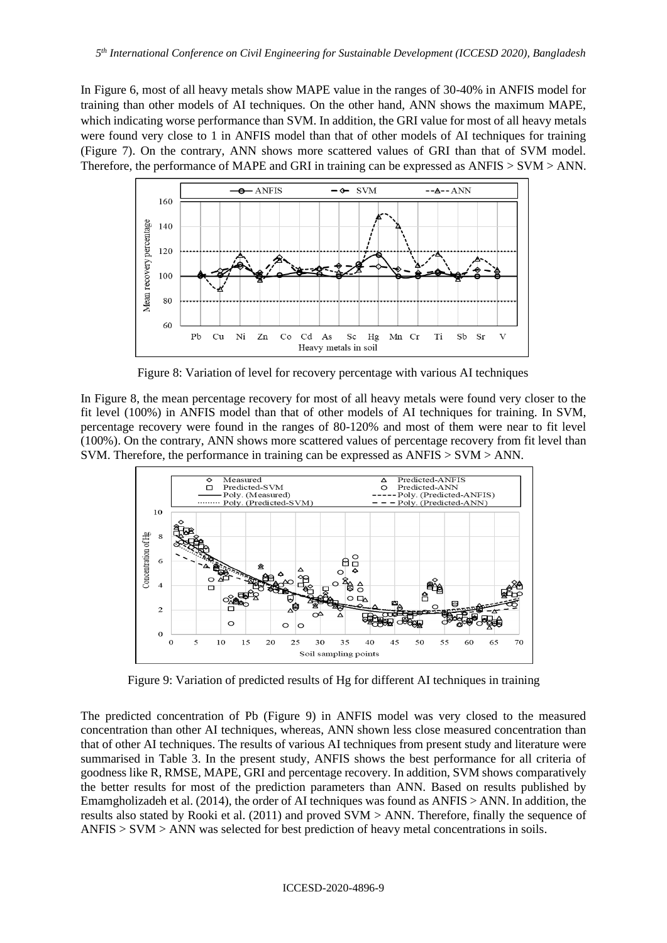In Figure 6, most of all heavy metals show MAPE value in the ranges of 30-40% in ANFIS model for training than other models of AI techniques. On the other hand, ANN shows the maximum MAPE, which indicating worse performance than SVM. In addition, the GRI value for most of all heavy metals were found very close to 1 in ANFIS model than that of other models of AI techniques for training (Figure 7). On the contrary, ANN shows more scattered values of GRI than that of SVM model. Therefore, the performance of MAPE and GRI in training can be expressed as ANFIS > SVM > ANN.



Figure 8: Variation of level for recovery percentage with various AI techniques

In Figure 8, the mean percentage recovery for most of all heavy metals were found very closer to the fit level (100%) in ANFIS model than that of other models of AI techniques for training. In SVM, percentage recovery were found in the ranges of 80-120% and most of them were near to fit level (100%). On the contrary, ANN shows more scattered values of percentage recovery from fit level than SVM. Therefore, the performance in training can be expressed as ANFIS > SVM > ANN.



Figure 9: Variation of predicted results of Hg for different AI techniques in training

The predicted concentration of Pb (Figure 9) in ANFIS model was very closed to the measured concentration than other AI techniques, whereas, ANN shown less close measured concentration than that of other AI techniques. The results of various AI techniques from present study and literature were summarised in Table 3. In the present study, ANFIS shows the best performance for all criteria of goodness like R, RMSE, MAPE, GRI and percentage recovery. In addition, SVM shows comparatively the better results for most of the prediction parameters than ANN. Based on results published by Emamgholizadeh et al. (2014), the order of AI techniques was found as ANFIS > ANN. In addition, the results also stated by Rooki et al. (2011) and proved SVM > ANN. Therefore, finally the sequence of ANFIS > SVM > ANN was selected for best prediction of heavy metal concentrations in soils.